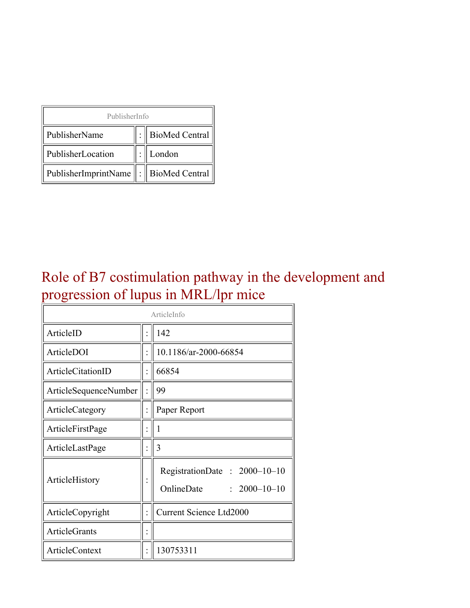| PublisherInfo                                   |  |                    |  |  |
|-------------------------------------------------|--|--------------------|--|--|
| PublisherName                                   |  | :   BioMed Central |  |  |
| PublisherLocation                               |  | London             |  |  |
| PublisherImprintName $\ \cdot\ $ BioMed Central |  |                    |  |  |

#### Role of B7 costimulation pathway in the development and progression of lupus in MRL/lpr mice

| ArticleInfo              |  |                                                                  |
|--------------------------|--|------------------------------------------------------------------|
| ArticleID                |  | 142                                                              |
| ArticleDOI               |  | 10.1186/ar-2000-66854                                            |
| <b>ArticleCitationID</b> |  | 66854                                                            |
| ArticleSequenceNumber    |  | 99                                                               |
| ArticleCategory          |  | Paper Report                                                     |
| ArticleFirstPage         |  | 1                                                                |
| ArticleLastPage          |  | 3                                                                |
| ArticleHistory           |  | RegistrationDate: 2000-10-10<br>OnlineDate<br>$: 2000 - 10 - 10$ |
| ArticleCopyright         |  | <b>Current Science Ltd2000</b>                                   |
| <b>ArticleGrants</b>     |  |                                                                  |
| <b>ArticleContext</b>    |  | 130753311                                                        |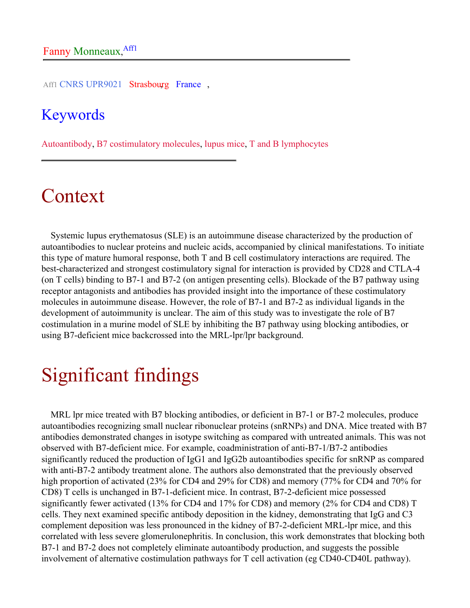Aff1 CNRS UPR9021 Strasbourg France,

#### Keywords

Autoantibody, B7 costimulatory molecules, lupus mice, T and B lymphocytes

# Context

Systemic lupus erythematosus (SLE) is an autoimmune disease characterized by the production of autoantibodies to nuclear proteins and nucleic acids, accompanied by clinical manifestations. To initiate this type of mature humoral response, both T and B cell costimulatory interactions are required. The best-characterized and strongest costimulatory signal for interaction is provided by CD28 and CTLA-4 (on T cells) binding to B7-1 and B7-2 (on antigen presenting cells). Blockade of the B7 pathway using receptor antagonists and antibodies has provided insight into the importance of these costimulatory molecules in autoimmune disease. However, the role of B7-1 and B7-2 as individual ligands in the development of autoimmunity is unclear. The aim of this study was to investigate the role of B7 costimulation in a murine model of SLE by inhibiting the B7 pathway using blocking antibodies, or using B7-deficient mice backcrossed into the MRL-lpr/lpr background.

# Significant findings

MRL lpr mice treated with B7 blocking antibodies, or deficient in B7-1 or B7-2 molecules, produce autoantibodies recognizing small nuclear ribonuclear proteins (snRNPs) and DNA. Mice treated with B7 antibodies demonstrated changes in isotype switching as compared with untreated animals. This was not observed with B7-deficient mice. For example, coadministration of anti-B7-1/B7-2 antibodies significantly reduced the production of IgG1 and IgG2b autoantibodies specific for snRNP as compared with anti-B7-2 antibody treatment alone. The authors also demonstrated that the previously observed high proportion of activated (23% for CD4 and 29% for CD8) and memory (77% for CD4 and 70% for CD8) T cells is unchanged in B7-1-deficient mice. In contrast, B7-2-deficient mice possessed significantly fewer activated (13% for CD4 and 17% for CD8) and memory (2% for CD4 and CD8) T cells. They next examined specific antibody deposition in the kidney, demonstrating that IgG and C3 complement deposition was less pronounced in the kidney of B7-2-deficient MRL-lpr mice, and this correlated with less severe glomerulonephritis. In conclusion, this work demonstrates that blocking both B7-1 and B7-2 does not completely eliminate autoantibody production, and suggests the possible involvement of alternative costimulation pathways for T cell activation (eg CD40-CD40L pathway).